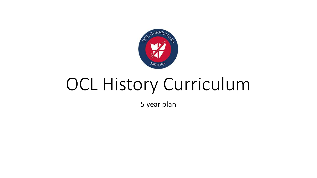

# OCL History Curriculum

5 year plan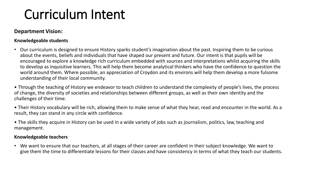## Curriculum Intent

#### **Department Vision:**

#### **Knowledgeable students**

• Our curriculum is designed to ensure History sparks student's imagination about the past. Inspiring them to be curious about the events, beliefs and individuals that have shaped our present and future. Our intent is that pupils will be encouraged to explore a knowledge rich curriculum embedded with sources and interpretations whilst acquiring the skills to develop as inquisitive learners. This will help them become analytical thinkers who have the confidence to question the world around them. Where possible, an appreciation of Croydon and its environs will help them develop a more fulsome understanding of their local community.

• Through the teaching of History we endeavor to teach children to understand the complexity of people's lives, the process of change, the diversity of societies and relationships between different groups, as well as their own identity and the challenges of their time.

• Their History vocabulary will be rich, allowing them to make sense of what they hear, read and encounter in the world. As a result, they can stand in any circle with confidence.

• The skills they acquire in History can be used in a wide variety of jobs such as journalism, politics, law, teaching and management.

#### **Knowledgeable teachers**

• We want to ensure that our teachers, at all stages of their career are confident in their subject knowledge. We want to give them the time to differentiate lessons for their classes and have consistency in terms of what they teach our students.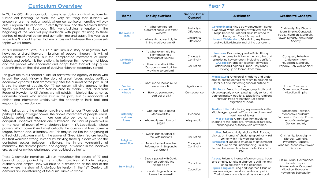In Y7, the OCL History curriculum aims to establish a critical platform for subsequent learning. As such, the very first thing that students will encounter are the various worlds where our curricular narrative will play out; European Christendom, Eastern Byzantium, and the Medieval Islamic World centred in Baghdad. This world-building enterprise at the beginning of the year will pay dividends, with pupils returning to these centres of medieval power and authority time and again. The year as a whole has 3 broad themes that run across and between the various sub topics we will teach.

At a fundamental level, our Y7 curriculum is a story of migration. Not, however, a straightforward migration of people (though this will, of course, feature heavily), but the complicated movement of ideas, objects and beliefs. It is the relationship between this movement of ideas and the people who encounter and adopt them that will help guide students through their first year of studying history at secondary school.

This gives rise to our second curricular narrative; the agency of those who inhabit the past. History is the story of great forces; social, political, economic dynamics that dramatically alter the currents of the past. But it is also the story of people. Our Y7 curriculum will give agency to the figures we encounter. From Mansa Musa to Martin Luther, and from Roger of Howden to Kilij Arslan, we will establish historical figures not as inanimate pawns who simply exist in the past, but as inhabitants of distinct and interrelated worlds, with the capacity to think, feel, and respond just as we do now.

Which brings us to the ultimate narrative of not just our Y7 curriculum, but perhaps History at large: power. The above movement of people, ideas, objects, beliefs and much more can also be told as the story of conquest, upheaval, rebellion and subversion. The story of power will lie at the heart of much of what students learn in Y7. Specifically, whose power? What power? And most critically the question of how power is forged, formed and, ultimately, lost. This may sound like the beginning of a tired, old curriculum in which the power of 'Great Men' feature heavily, but that would be wrong. Instead, by tackling these questions we see the contested power between institutions, the innate vulnerability of monarchy, the discrete power (and agency!) of women in the Medieval era, as well as myriad challenges to established authority.

These 3 curricular narratives will run throughout the course of Y7 and beyond, accompanied by the smaller narratives of trade, religion, authority and empire. They will build to a crescendo at the end of the year, where the story of Anglo-Spanish tension in the 16<sup>th</sup> Century will demand an understanding of the curriculum as a whole.

| <b>Year 7</b>                          |                                                                                                                                                              |                                                                        |                                                                                                                                                                                                                                                                                                                                                                                       |                                                                                                                                    |
|----------------------------------------|--------------------------------------------------------------------------------------------------------------------------------------------------------------|------------------------------------------------------------------------|---------------------------------------------------------------------------------------------------------------------------------------------------------------------------------------------------------------------------------------------------------------------------------------------------------------------------------------------------------------------------------------|------------------------------------------------------------------------------------------------------------------------------------|
| <b>Theme</b>                           | <b>Enquiry questions</b>                                                                                                                                     | <b>Second Order</b><br>Concept                                         | <b>Justification</b>                                                                                                                                                                                                                                                                                                                                                                  | <b>Substantive Concepts</b>                                                                                                        |
| The world in<br>1000                   | What connected<br>Constantinople with other<br>worlds?<br>Where did power truly lie<br>in the medieval world?                                                | Similarity &<br><b>Difference</b><br>Similarity &<br><b>Difference</b> | <b>Constantinople:</b> Hinge between Ancient Rome<br>& Medieval World (continuity with KS2) but also<br>hinge between East and West. Returned to<br>throughout Year 7 & beyond.<br><b>Islam &amp; Christendom: Establishing key themes</b><br>and world building for rest of the curriculum.                                                                                          | Christianity, The Church,<br>Islam, Empire, Conquest,<br>Trade, Migration, Monarchy,<br>Power, Dynasty, Knowledge,<br>Society      |
| <b>Contested</b><br>power              | To what extent did the<br>$\bullet$<br>Normans bring a<br>truckload of trouble?<br>How on earth did the<br>Crusaders make it all the<br>way in to Jerusalem? | Change &<br>Continuity<br>Causation                                    | Normans: Key turning point in British History,<br>setting the scene for Britain in the narrative and<br>establishing key concepts (including conflict).<br><b>Crusades:</b> Interaction (conflict) of worlds<br>established, England, Europe, Holy Lands.<br>Picking up on themes from term 1.                                                                                        | Conquest, Rebellion,<br>Christianity, Islam,<br>Feudalism, Monarchy,<br>Papacy, Holy War, Society                                  |
| Empire,<br>connection<br>+ trade       | What made Mansa Musa<br>exceptional?<br>How do you make a<br>$\bullet$<br>road out of silk?                                                                  | Significance<br>Consequence                                            | Mansa Musa: Function of kingdoms and proto-<br>empire, setting context for return to West Africa<br>later but also reinforcing success outside of<br>Europe.<br>Silk Roads: Breadth unit - geographically and<br>chronologically encompassing study so far and<br>connecting key locations. Establishing relations<br>through trade rather than just conflict.<br>Migration of ideas. | Trade, Commerce,<br>Governance, Power,<br>Migration, Empire                                                                        |
| <b>Instability</b><br>and new<br>ideas | Who can tell us about<br>Medieval Life?<br>Who really went to war in<br>$1455$ ?                                                                             | Evidential<br>Interpretation                                           | Medieval Life: Establishing key elements in the<br>Middle Ages (growth of Towns /role of women/<br>treatment of Jews)<br>War of Roses: A transition from medieval<br>England to the Tudor era, revisit royal instability,<br>challenges to authority, role of women.                                                                                                                  | Settlements, Taxation,<br>Monarchy, Feudalism,<br>Succession, Dynasty, Power,<br>Literacy/Knowledge,<br>Gender, society            |
| <b>Religious</b><br>revolution         | Martin Luther, father of<br>the Reformation?<br>To what extent was the<br>Reformation in England a<br>Car Crash?                                             | Causation<br>Change &<br>Continuity                                    | Luther: Return to daily religious life in Europe,<br>pick up on themes of challenging authority, set<br>Luther within this wider narrative.<br>Reformation: Return to structure of government<br>and build on this understanding. Build on<br>tension between church and state. Critical for<br>KS4.                                                                                  | Christianity, Sovereignty,<br>Literacy, Catholic,<br>Protestant, Papacy,<br>Rebellion, Monarchy, Power,<br>Advisors                |
| <b>Early Empire</b>                    | Streets paved with Gold:<br>how on earth did the<br>Aztecs do it?<br>How did England come<br>to rule the waves?                                              | Causation<br>Causation                                                 | Aztecs: Return to themes of governance, trade<br>and empire. But also a chance to shift the lens<br>of colonisation to the colonised.<br>Spain + England: Bring it all together. Clash of<br>empires, religious warfare, trade competition.<br>Curriculum as a whole must be understood.                                                                                              | Culture, Trade, Governance,<br>Society, Empire,<br>Administration, Conquest,<br>Migration, Exploration,<br>Navigation, Subjugation |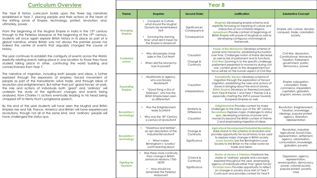The Year 8 history curriculum builds upon the three big narratives established in Year 7, placing people and their actions at the heart of the shifting sands of Empire, technology, protest, revolution, and, ultimately, power.

From the beginning of the Mughal Empire in India in the  $15<sup>th</sup>$  century through to the Peterloo Massacre at the beginning of the 19<sup>th</sup> century, students will once again explore British history in its place as part of a global narrative, where Britain was not always the premier power nor indeed the centre of events that arguably changed the course of history.

The year continues to establish the contiguity of events across the World, explicitly relating events taking place in one location to those they have studied taking place in other, continuing the world building and connectiveness from Year 7.

The narrative of migration, including both people and ideas, is further explored through the expansion of empires, forced movement of people as part of the transatlantic salve trade, and through ideas of revolution and enlightenment. But rather than just 'grand forces' at work, the role and actions of individuals both 'great' and 'ordinary' will underpin the study of the significant changes and events being analysed, from Charles I's actions eventually leading to his head being chopped off to Henry Hunt's progressive speech.

By the end of the year students will have seen the Mughal and British Empires rise and fall, France, America and Britain will have experienced revolutions, though not all of the same kind, and 'ordinary' people will have challenged the status quo.

| <b>CAI O</b>                       |                                                                                                                                                                             |                                             |                                                                                                                                                                                                                                                                                                                                                                                                       |                                                                                                                                                                 |
|------------------------------------|-----------------------------------------------------------------------------------------------------------------------------------------------------------------------------|---------------------------------------------|-------------------------------------------------------------------------------------------------------------------------------------------------------------------------------------------------------------------------------------------------------------------------------------------------------------------------------------------------------------------------------------------------------|-----------------------------------------------------------------------------------------------------------------------------------------------------------------|
| <b>Theme</b>                       | <b>Enquiries</b>                                                                                                                                                            | <b>Second Order</b>                         | <b>Justification</b>                                                                                                                                                                                                                                                                                                                                                                                  | <b>Substantive Concept</b>                                                                                                                                      |
| <b>Emerging</b><br><b>Empires</b>  | Conquest or Culture,<br>what should the Mughal<br>Dynasty be remembered<br>f <sub>O</sub><br>Surviving the starving<br>time: what did it mean for<br>the Empire in America? | Significance/<br>Consequence<br>Consequence | <b>Mughals:</b> Developing empire schema and<br>explicitly focussing on meaning of culture and<br>interaction of non-Christian religions.<br>Jamestown: Provide contrast of beginnings of<br>British Empire with power of Mughals as well as<br>developing contiguous chronological<br>framework.                                                                                                     | Empire, arts, culture, dynasty,<br>conquest, trade, colonialism,<br>society,                                                                                    |
| <b>Contested</b><br>power          | Why did people chose<br>sides in the Civil War?<br>When did the Monarchy<br>lose its power?                                                                                 | Causation<br>Change &<br>Continuity         | Power of the Monarchy: Develops schema of<br>power and monarchy, establishing fluctuation<br>over time. Challenges notion of linear decrease<br>as well as rise of parliament and its functions.<br>Civil War: Zooming in to the specific challenge<br>parliament presented to monarchy during civil<br>war, context given to the disagreement but<br>focus will be on the human aspect of Civil War. | Civil War, Absolutism,<br>Constitutional, Monarchy<br>Taxation, Parliament,<br>government, public,<br>democracy, power,                                         |
| <b>Expanding</b><br><b>Empires</b> | Abolitionists or agency,<br>why was Slavery<br>Abolished?<br>"Good thing vs Era of<br>Darkness", why has the<br>British Empire been seen<br>so differently?                 | Causation<br>Interpretations                | Transatlantic Slavery: Develops schema of<br>migration through the exploration of forced<br>migration, establishing the roles and actions of<br>slaves in bringing about the end of slavery.<br><b>British Empire: Develops on themes/concepts</b><br>from Year 8 theme 1 and Year 7 themes 5 & 6,<br>especially charting the shift in power towards<br>European Empires as well.                     | Empire, subjugation,<br>colonialism, trade,<br>commerce, imperialism,<br>capitalism, globalism,<br>jingoism, slavery, society                                   |
| <b>Revolution +</b><br>technology  | Was the Enlightenment<br>really Scottish?<br>Why was the 18th Century<br>a century of revolution?                                                                           | Similarity &<br>Difference<br>Causation     | <b>Enlightenment:</b> Provides context for major<br>challenges to the status quo of the 18th century.<br><b>Revolutions:</b> Explores major challenges to status<br>quo, developing schemas of power and<br>monarchy beyond the British context of theme<br>2 and emphasising migration of ideas.                                                                                                     | Revolution, Enlightenment,<br>Taxation, knowledge,<br>ideology, popular protest,<br>agency, liberation,<br>representation                                       |
| <b>Revolution +</b><br>technology  | $\bullet$<br>"Disastrous and terrible",<br>an apt description of the<br>Industrial Revolution?<br>• What makes<br>Birmingham's 'lunatics'<br>worth learning about           | Change &<br>Continuity<br>Significance      | <b>Agricultural Development/Industrial Revolution:</b><br>Adds strand to the schema of revolution and<br>provides opportunity for local history to be used<br>to explore major changes in British society<br>Lunar Society: Use the Birmingham Lunar<br>Society to link Britain to the wider world via<br>trade and ideas.                                                                            | Revolution, Industrial,<br>Agricultural, Social Class,<br>representation, settlement,<br>agency, urbanisation,<br>consumerism, knowledge,<br>globalism, poverty |
| <b>Fighting for</b><br>freedom     | Was there more continuity<br>than change in British-<br>Jamaican relations 1760-<br>1870?<br>• How should we<br>remember the Peterloo<br>Massacre?                          | Chance &<br>Continuity<br>Significance      | Stories of slavery & Peterloo: Forefronts the<br>stories of 'ordinary' people and concepts<br>explored throughout the year, emphasising<br>agency of individuals rather than 'great forces'<br>Victorian town: Provides opportunity to reflect<br>on changes in society since start of Year 7<br>Curriculum and provides context for Year 9                                                           | Oppression, agency,<br>representation,<br>emancipation, democracy,<br>power, colonial society,<br>popular protest, poverty,<br>class                            |

**Year 8**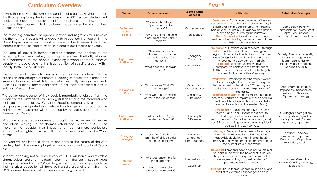Driving the Year 9 curriculum is the question of progress. Having reached this through exploring the key features of the 20<sup>th</sup> century, students will analyse attitudes and 'achievements' across the globe, allowing them to judge the 'progress' that has been made since the start of their studies in Year 7

The three big narratives of agency, power and migration still underpin the themes that students will engage with throughout the year whilst the Great Depression serves as another piece of the framework that ties themes together, helping to establish a continuous timeline of events.

The idea of power is further explored through the analysis of the increasing franchise in Britain, picking up where Year 8 left off, with idea of a 'parliament for the people' extending beyond just the number of people who could vote to the legal position of specific groups within society, both UK and abroad.

The narrative of power also ties in to the migration of ideas, with the expansion and collapse of numerous ideologies across the planet, from Imperial Japan to Fascist Italy, as well as explicitly linking movements such as Civil Rights across continents, rather than presenting events in isolation of each other.

The power and agency of individuals is repeatedly analysed, from the impact of the Suffragettes to Civil Rights leaders and the marchers who took part in the Jarrow Crusade. Specific emphasis is placed on campaigning and protest as a vehicle for change, with a focus on the individuals who were not willing to abide by the status quo, drawing on themes from Year 8.

Migration is repeatedly addressed, through the movement of people and ideas, picking up on themes established in Year 7 & 8. The movement of people, their impact and treatment are particularly evident in the Rights, Laws and attitudes themes as well as in the World at War.

The year will challenge students to characterise the nature of the 20th century itself while drawing together he strands sown throughout Year 7 & 8.

Students choosing not to study history at GCSE will leave year 9 with a chronological grasp of global history from the early Middle Ages through to the end of the 20<sup>th</sup> century, whilst those choosing to continue their historical education will have built a solid grounding on which the GCSE course develops, without simply repeating content

| $\overline{\phantom{a}}$              |                                                                                                                                      |                                                                |                                                                                                                                                                                                                                                                                                                                                                                                                                                 |                                                                                                                                          |
|---------------------------------------|--------------------------------------------------------------------------------------------------------------------------------------|----------------------------------------------------------------|-------------------------------------------------------------------------------------------------------------------------------------------------------------------------------------------------------------------------------------------------------------------------------------------------------------------------------------------------------------------------------------------------------------------------------------------------|------------------------------------------------------------------------------------------------------------------------------------------|
| <b>Theme</b>                          | <b>Enquiry questions</b>                                                                                                             | <b>Second Order</b><br>Concept                                 | <b>Justification</b>                                                                                                                                                                                                                                                                                                                                                                                                                            | <b>Substantive Concepts</b>                                                                                                              |
| <b>Parliament</b><br>of the<br>People | When did the UK get a<br>"parliament of the<br>people"?<br>'A waste of time', a valid<br>assessment of the Jarrow<br>March?          | Consequence<br>Significance                                    | <b>Democracy:</b> Picks up on a number of themes<br>from Year 8 to establish nature of democracy in<br>Britain and the impact the growing franchise<br>had on class in Britain, with agency and actions<br>of specific groups driving the narrative.<br><b>Great Depression:</b> Introduces a recurring<br>feature In the following themes and establishes<br>North/South divide in the UK                                                      | Democracy, Poverty,<br>Representation, class, Great<br>Depression, Suffrage,<br>parliament, protest, Welfare                             |
| <b>Rights, Laws</b><br>& Attitudes    | "New laws but same<br>attitudes", an accurate<br>reflection of the 20 <sup>th</sup><br>century?<br>What does the Eldorado<br>reveal? | Change &<br>Continuity<br>Interpretations                      | 'Toleration': Questions ideas of progress through<br>history (and the curriculum), focussing on the<br>legal position and attitudes towards women<br>and LGBTQ+ individuals in at the start of and<br>throughout the 20 <sup>th</sup> century in Britain.<br><b>Eldorado:</b> Weimar Germany provides<br>comparative context to the treatment of<br>LGBTQ+ people in Britain whilst establishing the<br>context for the rise of Nazi Germany.   | Society, Toleration, equality,<br>government, legislation,<br>liberal, representation,<br>ideology, discrimination,<br>Gender, Sexuality |
| The World at<br>War                   | Why was one World War<br>not enough?<br>What was the experience<br>of war in the 20 <sup>th</sup> century?                           | Causation/<br>Consequence<br>Similarity &<br><b>Difference</b> | <b>World Wars:</b> Draws together the various worlds<br>explored throughout he curriculum to explore<br>their repeated collision in the 20 <sup>th</sup> century and<br>setting the scene for the later exploration of<br>ideologies.<br><b>Experience of War:</b> focusses on the changing<br>nature of warfare on impact of war on civilians<br>as well as soldiers (beyond home-front in Britain<br>and white soldiers on the Western Front) | Appeasement, Empire,<br>Imperialism, Nationalism,<br>Militarism, Alliances,<br>Diplomacy, ideology                                       |
| <b>Rights, Laws</b><br>& Attitudes    | What did Civil Rights<br>leaders really want?                                                                                        | Similarity &<br><b>Difference</b>                              | Civil Rights: Picks up the narrative of Year 8<br>theme 3 and Year 9 Theme 2 but aims to<br>challenge simplistic narratives and<br>misconceptions of racial tension as being solely<br>a US issue by putting race into a wider global<br>context in the 20 <sup>th</sup> century.                                                                                                                                                               | Civil Rights, Segregation,<br>emancipation, legislation,<br>society, protest, Racism,<br>Apartheid, repression                           |
| <b>Emerging</b><br><b>Ideologies</b>  | "Liberation", the broken<br>promise of all ideologies<br>of the 20 <sup>th</sup> century?                                            | Similarity &<br>Difference/<br>Consequence                     | <b>Ideology:</b> Develops the schema of ideology<br>through the introduction to both new and<br>legacy ideologies that dominated the 20 <sup>th</sup><br>century and provide context for understanding<br>the current state of the World                                                                                                                                                                                                        | Liberation, Ideology,<br>communism, Imperialism,<br>Democracy, Capitalism,<br>Revolution, Fascism                                        |
| <b>Tolerant</b><br>World              | Who was responsible for<br>$\bullet$<br>the Holocaust?<br>How can we explain<br>genocide in Rwanda?                                  | Interpretations<br>Causation                                   | Holocaust: Forefronts agency of individuals in all<br>positions in society in the holocaust. Builds on<br>the previous theme to explore the impact of<br>ideologies and again question ideas of<br>progress in the 20 <sup>th</sup> century.<br>Rwanda: Ties in themes of empire, ideology and<br>conflict to examine horror of genocide in<br>Rwanda.                                                                                          | Holocaust, Genocide,<br>Empire, Conflict, ideology,<br>legislation,                                                                      |

**Year 9**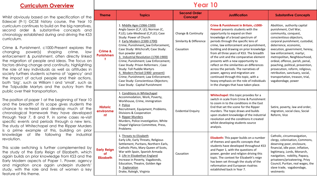Whilst obviously based on the specification of the Edexcel (9-1) GCSE history course, the Year 10 curriculum continues to build on the big narratives, second order & substantive concepts and chronology established during and driving the KS3 curriculum.

**Punis** Crime & Punishment, c1000-Present explores the changing power(s) shaping crime, law enforcement & punishment, often directly linked the migration of people and ideas. The focus on factors driving change and continuity, highlighting the role of key individuals as well as attitudes in society furthers students schema of 'agency' and the impact of actual people and their actions, both 'big', such as William I and 'small', such as the Tolpuddle Martyrs and the outcry from the public over their transportation.

The position of paper 1 at the beginning of Year 10 and the breadth of its scope gives students the chance to re-tread and develop much of the chronological framework they have developed through Year 7, 8 and 9, in some cases re-visit specific events and periods through a new lens. The study of Whitechapel and the Ripper Murders is a prime example of this, building on prior knowledge of life following the industrial revolution.

**Early** This scale switching is further complemented by the study of the Early Reign of Elizabeth, which again builds on prior knowledge from KS3 and the Early Modern aspects of Paper 1. Power, agency and migration once again underpin students' study, with the role and lives of women a key feature of this theme.

### **Year 10 Theme Topics Second Order**

| <b>Theme</b>                                            | <b>Topics</b>                                                                                                                                                                                                                                                                                                                                                                                                                                                                                                                                                             | Concept                                                     | <b>Justification</b>                                                                                                                                                                                                                                                                                                                                                                                                                                                                                                                                                                                                                                                       | <b>Substantive Concepts</b>                                                                                                                                                                                                                                                                                                                                                                                                                                                |
|---------------------------------------------------------|---------------------------------------------------------------------------------------------------------------------------------------------------------------------------------------------------------------------------------------------------------------------------------------------------------------------------------------------------------------------------------------------------------------------------------------------------------------------------------------------------------------------------------------------------------------------------|-------------------------------------------------------------|----------------------------------------------------------------------------------------------------------------------------------------------------------------------------------------------------------------------------------------------------------------------------------------------------------------------------------------------------------------------------------------------------------------------------------------------------------------------------------------------------------------------------------------------------------------------------------------------------------------------------------------------------------------------------|----------------------------------------------------------------------------------------------------------------------------------------------------------------------------------------------------------------------------------------------------------------------------------------------------------------------------------------------------------------------------------------------------------------------------------------------------------------------------|
| <b>Crime &amp;</b><br>Punishmen<br>$\ddot{\phantom{1}}$ | 1. Middle Ages (1066-1500)<br>Anglo Saxon (C,P, LE); Norman (C,<br>P,LE); Late-Medieval (C,P,LE); Case<br>Study: Power of Church<br>2. Early Modern (1500-1700)<br>Crime; Punishment; law Enforcement;<br>Case Study: Witchcraft; Case Study:<br>Gun powder plot<br>3. Industrial Revolution (1700-1900)<br>Crime; Punishment; Law Enforcement;<br>Case Study: Prison Reformers ; Case<br>Study: Toll Puddle Martyrs<br>4. Modern Period (1900 -present)<br>Crime; Punishment; Law Enforcement;<br>Case Study: Conscientious Objectors;<br>Case Study: Capital Punishment | Change & Continuity<br>Similarity & Difference<br>Causation | Crime & Punishment in Britain, c1000-<br><b>Present</b> presents students with the<br>opportunity to expand on their<br>knowledge of a broad spectrum of<br>periods through the specific lens of<br>crime, law enforcement and punishment,<br>building and drawing on prior knowledge<br>from all three years of KS3. The breadth<br>of the unit and the comparative element<br>presents with a new opportunity to<br>reflect on the similarities an differences<br>across the periods. The narratives of<br>power, agency and migration are<br>continued through this topic, with a<br>heavy emphasis on the role of individuals<br>in the changes that have taken place. | Abolition, authority capital<br>punishment, Civil War,<br>community, conquest,<br>conscientious objectors,<br>corporal punishment, custodial,<br>deterrence, economic,<br>execution, government, heresy,<br>law enforcement, martyr,<br>metropolitan, Neighbourhood,<br>ordeal, offence, parish, penal,<br>poaching, political, prevention,<br>prosecution, reform, religious,<br>retribution, sanctuary, social,<br>transportation, treason, trial,<br>vagabondage, power |
| <b>Historic</b><br>environme<br>nt                      | 1. Conditions in Whitechapel<br>Accommodation, Work, Poverty,<br>Workhouse, Crime, immigration<br>2. Police<br>Recruitment, Equipment, Problems,<br>Divisions & Cooperation<br>3. Ripper Murders<br>Murders, Police investigation, White<br>Chapel Vigilance Committee, Press,<br>Problems                                                                                                                                                                                                                                                                                | <b>Evidential Enquiry</b>                                   | Whitechapel: this topic provides for a<br>switch in scale from Crime & Punishment<br>to zoom in to the conditions in the East<br>End that set the scene for the Ripper<br>murders. The topic draws and builds<br>upon student knowledge of the industrial<br>revolution and the conditions it created<br>whilst developing students source<br>analysis.                                                                                                                                                                                                                                                                                                                    | Satire, poverty, law and order,<br>migration, social class, Social<br>Reform, Vice                                                                                                                                                                                                                                                                                                                                                                                         |
| <b>Early Reign</b><br>оf<br><b>Elizabeth</b>            | 1. Threats to Elizabeth<br>Early Life, Early Threats, Religious<br>Settlement, Puritans, Northern Earls,<br>Catholic Plots, Mary Queen of Scots,<br>War with Spain, Spanish Armada<br>2. Life in Elizabethan England<br>Increase in Poverty, Vagabonds,<br>Education, Theatre, Golden Age<br>3. Exploration<br>Drake, Raleigh, Virginia                                                                                                                                                                                                                                   | Causation                                                   | Elizabeth: This paper builds on a number<br>of themes and specific concepts that<br>students have developed throughout KS3<br>and Paper 1, with the questions of<br>power, gender and religion driving this<br>topic. The context for Elizabeth's reign<br>has been set through the study of the<br>reformation and European rivalries<br>established back in Year 7.                                                                                                                                                                                                                                                                                                      | Catholic, circumnavigation,<br>clergy, colonisation, Commons,<br>deserving poor, enclosure,<br>financial, idle poor, inflation,<br>legitimacy, Lords, Monarch,<br>navigation, nobility, Papacy,<br>privateers/privateering, Privy<br>Council, Puritan, real wages, the<br>slave trade, vagabondage,<br>vestments                                                                                                                                                           |